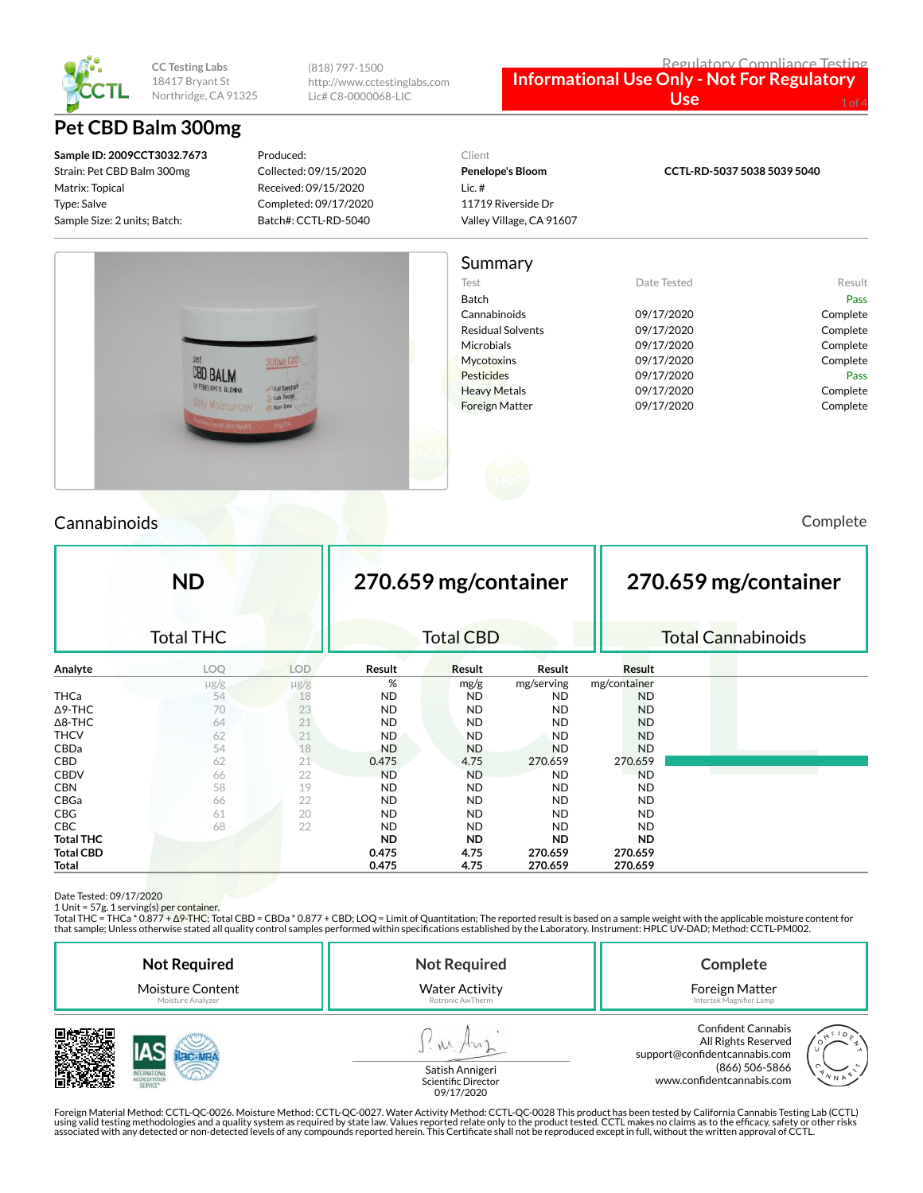

(818) 797-1500 http://www.cctestinglabs.com Lic# C8-0000068-LIC

#### Regulatory Compliance Testing **Informational Use Only - Not For Regulatory**

Use

# **Pet CBD Balm 300mg**

**Sample ID: 2009CCT3032.7673** Strain: Pet CBD Balm 300mg Matrix: Topical Type: Salve Sample Size: 2 units; Batch:

Produced: Collected: 09/15/2020 Received: 09/15/2020 Completed: 09/17/2020 Batch#: CCTL-RD-5040

## Client **Penelope's Bloom**

Lic. # 11719 Riverside Dr Valley Village, CA 91607 **CCTL-RD-5037 5038 5039 5040**

### Summary Test **Date Tested** Result Batch Pass Cannabinoids 09/17/2020 Complete Residual Solvents **09/17/2020** Complete Microbials 09/17/2020 Complete Mycotoxins 09/17/2020 Complete **CBD BALM** Pesticides 09/17/2020 Pass ENELOPE'S BLOW Heavy Metals **Complete** 09/17/2020 Complete Foreign Matter  $09/17/2020$  Complete

## Cannabinoids Complete

|                  | <b>ND</b>        |            |           | 270.659 mg/container |            |              | 270.659 mg/container |                           |  |
|------------------|------------------|------------|-----------|----------------------|------------|--------------|----------------------|---------------------------|--|
|                  | <b>Total THC</b> |            |           | <b>Total CBD</b>     |            |              |                      | <b>Total Cannabinoids</b> |  |
| Analyte          | LOQ              | <b>LOD</b> | Result    | Result               | Result     | Result       |                      |                           |  |
|                  | $\mu$ g/g        | $\mu$ g/g  | %         | mg/g                 | mg/serving | mg/container |                      |                           |  |
| <b>THCa</b>      | 54               | 18         | ND        | ND                   | ND.        | <b>ND</b>    |                      |                           |  |
| $\Delta$ 9-THC   | 70               | 23         | ND.       | <b>ND</b>            | <b>ND</b>  | <b>ND</b>    |                      |                           |  |
| $\Delta$ 8-THC   | 64               | 21         | <b>ND</b> | <b>ND</b>            | <b>ND</b>  | <b>ND</b>    |                      |                           |  |
| <b>THCV</b>      | 62               | 21         | <b>ND</b> | <b>ND</b>            | <b>ND</b>  | <b>ND</b>    |                      |                           |  |
| CBDa             | 54               | 18         | <b>ND</b> | <b>ND</b>            | <b>ND</b>  | <b>ND</b>    |                      |                           |  |
| <b>CBD</b>       | 62               | 21         | 0.475     | 4.75                 | 270.659    | 270.659      |                      |                           |  |
| <b>CBDV</b>      | 66               | 22         | <b>ND</b> | <b>ND</b>            | <b>ND</b>  | <b>ND</b>    |                      |                           |  |
| <b>CBN</b>       | 58               | 19         | <b>ND</b> | <b>ND</b>            | ND.        | ND.          |                      |                           |  |
| CBGa             | 66               | 22         | <b>ND</b> | <b>ND</b>            | <b>ND</b>  | <b>ND</b>    |                      |                           |  |
| <b>CBG</b>       | 61               | 20         | <b>ND</b> | <b>ND</b>            | <b>ND</b>  | ND           |                      |                           |  |
| CBC              | 68               | 22         | <b>ND</b> | <b>ND</b>            | <b>ND</b>  | ND.          |                      |                           |  |
| <b>Total THC</b> |                  |            | <b>ND</b> | <b>ND</b>            | <b>ND</b>  | <b>ND</b>    |                      |                           |  |
| <b>Total CBD</b> |                  |            | 0.475     | 4.75                 | 270.659    | 270.659      |                      |                           |  |
| Total            |                  |            | 0.475     | 4.75                 | 270.659    | 270.659      |                      |                           |  |

Date Tested: 09/17/2020<br>1 Unit = 57g. 1 serving(s) per container.<br>Total THC = THCa \* 0.877 + Δ9-THC; Total CBD = CBDa \* 0.877 + CBD; LOQ = Limit of Quantitation; The reported result is based on a sample weight with the app that sample; Unless otherwise stated all quality control samples performed within specications established by the Laboratory. Instrument: HPLC UV-DAD; Method: CCTL-PM002.

| <b>Not Required</b>                   | <b>Not Required</b>                       | Complete                                                                                            |  |  |
|---------------------------------------|-------------------------------------------|-----------------------------------------------------------------------------------------------------|--|--|
| Moisture Content<br>Moisture Analyzer | <b>Water Activity</b><br>Rotronic AwTherm | Foreign Matter<br>Intertek Magnifier Lamp                                                           |  |  |
|                                       | <b>Catich Annigori</b>                    | <b>Confident Cannabis</b><br>All Rights Reserved<br>support@confidentcannabis.com<br>(866) 506-5866 |  |  |



www.confidentcannabis.com

Satish Annigeri Scientific Director 09/17/2020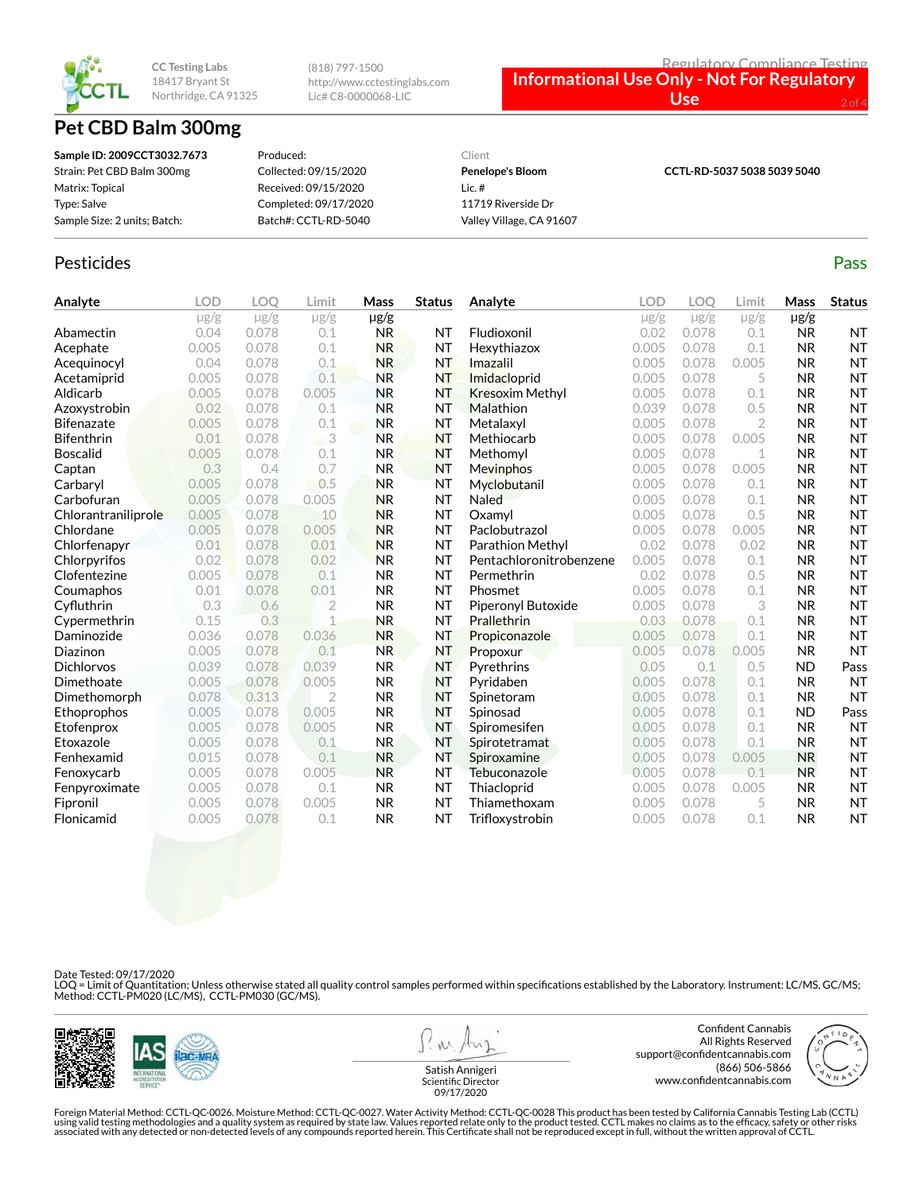

# **Pet CBD Balm 300mg**

(818) 797-1500 http://www.cctestinglabs.com Lic# C8-0000068-LIC



| Sample ID: 2009CCT3032.7673  | Produced:             | Client                   | CCTL-RD-5037 5038 5039 5040 |
|------------------------------|-----------------------|--------------------------|-----------------------------|
| Strain: Pet CBD Balm 300mg   | Collected: 09/15/2020 | <b>Penelope's Bloom</b>  |                             |
| Matrix: Topical              | Received: 09/15/2020  | Lic. $#$                 |                             |
| Type: Salve                  | Completed: 09/17/2020 | 11719 Riverside Dr       |                             |
| Sample Size: 2 units; Batch: | Batch#: CCTL-RD-5040  | Valley Village, CA 91607 |                             |

### Pesticides **Passage Contract Contract Contract Contract Contract Contract Contract Contract Contract Contract Contract Contract Contract Contract Contract Contract Contract Contract Contract Contract Contract Contract Cont**

| Analyte             | <b>LOD</b> | <b>LOO</b> | Limit          | Mass      | <b>Status</b> | Analyte                 | LOD       | LOO       | Limit     | Mass      | <b>Status</b> |
|---------------------|------------|------------|----------------|-----------|---------------|-------------------------|-----------|-----------|-----------|-----------|---------------|
|                     | $\mu$ g/g  | $\mu$ g/g  | $\mu$ g/g      | $\mu$ g/g |               |                         | $\mu$ g/g | $\mu$ g/g | $\mu$ g/g | $\mu$ g/g |               |
| Abamectin           | 0.04       | 0.078      | 0.1            | <b>NR</b> | NT            | Fludioxonil             | 0.02      | 0.078     | 0.1       | <b>NR</b> | NT            |
| Acephate            | 0.005      | 0.078      | 0.1            | <b>NR</b> | NT            | Hexythiazox             | 0.005     | 0.078     | 0.1       | <b>NR</b> | <b>NT</b>     |
| Acequinocyl         | 0.04       | 0.078      | 0.1            | <b>NR</b> | <b>NT</b>     | Imazalil                | 0.005     | 0.078     | 0.005     | <b>NR</b> | <b>NT</b>     |
| Acetamiprid         | 0.005      | 0.078      | 0.1            | <b>NR</b> | NT            | Imidacloprid            | 0.005     | 0.078     | 5         | <b>NR</b> | <b>NT</b>     |
| Aldicarb            | 0.005      | 0.078      | 0.005          | <b>NR</b> | <b>NT</b>     | <b>Kresoxim Methyl</b>  | 0.005     | 0.078     | 0.1       | <b>NR</b> | <b>NT</b>     |
| Azoxystrobin        | 0.02       | 0.078      | 0.1            | <b>NR</b> | NT            | Malathion               | 0.039     | 0.078     | 0.5       | <b>NR</b> | <b>NT</b>     |
| <b>Bifenazate</b>   | 0.005      | 0.078      | 0.1            | <b>NR</b> | <b>NT</b>     | Metalaxyl               | 0.005     | 0.078     | 2         | <b>NR</b> | <b>NT</b>     |
| <b>Bifenthrin</b>   | 0.01       | 0.078      | 3<br>W         | <b>NR</b> | <b>NT</b>     | Methiocarb              | 0.005     | 0.078     | 0.005     | <b>NR</b> | <b>NT</b>     |
| <b>Boscalid</b>     | 0.005      | 0.078      | 0.1            | <b>NR</b> | <b>NT</b>     | Methomyl                | 0.005     | 0.078     | 1         | <b>NR</b> | <b>NT</b>     |
| Captan              | 0.3        | 0.4        | 0.7            | <b>NR</b> | NT            | Mevinphos               | 0.005     | 0.078     | 0.005     | <b>NR</b> | <b>NT</b>     |
| Carbaryl            | 0.005      | 0.078      | 0.5            | <b>NR</b> | <b>NT</b>     | Myclobutanil            | 0.005     | 0.078     | 0.1       | <b>NR</b> | <b>NT</b>     |
| Carbofuran          | 0.005      | 0.078      | 0.005          | <b>NR</b> | <b>NT</b>     | <b>Naled</b>            | 0.005     | 0.078     | 0.1       | <b>NR</b> | <b>NT</b>     |
| Chlorantraniliprole | 0.005      | 0.078      | 10             | <b>NR</b> | <b>NT</b>     | Oxamvl                  | 0.005     | 0.078     | 0.5       | <b>NR</b> | <b>NT</b>     |
| Chlordane           | 0.005      | 0.078      | 0.005          | <b>NR</b> | <b>NT</b>     | Paclobutrazol           | 0.005     | 0.078     | 0.005     | <b>NR</b> | <b>NT</b>     |
| Chlorfenapyr        | 0.01       | 0.078      | 0.01           | <b>NR</b> | <b>NT</b>     | Parathion Methyl        | 0.02      | 0.078     | 0.02      | <b>NR</b> | <b>NT</b>     |
| Chlorpyrifos        | 0.02       | 0.078      | 0.02           | <b>NR</b> | <b>NT</b>     | Pentachloronitrobenzene | 0.005     | 0.078     | 0.1       | <b>NR</b> | <b>NT</b>     |
| Clofentezine        | 0.005      | 0.078      | 0.1            | <b>NR</b> | <b>NT</b>     | Permethrin              | 0.02      | 0.078     | 0.5       | <b>NR</b> | <b>NT</b>     |
| Coumaphos           | 0.01       | 0.078      | 0.01           | <b>NR</b> | NT            | Phosmet                 | 0.005     | 0.078     | 0.1       | <b>NR</b> | <b>NT</b>     |
| Cyfluthrin          | 0.3        | 0.6        | $\overline{2}$ | <b>NR</b> | <b>NT</b>     | Piperonyl Butoxide      | 0.005     | 0.078     | 3         | <b>NR</b> | <b>NT</b>     |
| Cypermethrin        | 0.15       | 0.3        | $\overline{1}$ | <b>NR</b> | <b>NT</b>     | <b>Prallethrin</b>      | 0.03      | 0.078     | 0.1       | <b>NR</b> | <b>NT</b>     |
| Daminozide          | 0.036      | 0.078      | 0.036          | <b>NR</b> | <b>NT</b>     | Propiconazole           | 0.005     | 0.078     | 0.1       | <b>NR</b> | <b>NT</b>     |
| Diazinon            | 0.005      | 0.078      | 0.1            | <b>NR</b> | <b>NT</b>     | Propoxur                | 0.005     | 0.078     | 0.005     | <b>NR</b> | <b>NT</b>     |
| <b>Dichlorvos</b>   | 0.039      | 0.078      | 0.039          | <b>NR</b> | <b>NT</b>     | Pyrethrins              | 0.05      | 0.1       | 0.5       | <b>ND</b> | Pass          |
| Dimethoate          | 0.005      | 0.078      | 0.005          | <b>NR</b> | <b>NT</b>     | Pyridaben               | 0.005     | 0.078     | 0.1       | <b>NR</b> | <b>NT</b>     |
| Dimethomorph        | 0.078      | 0.313      | $\overline{2}$ | <b>NR</b> | <b>NT</b>     | Spinetoram              | 0.005     | 0.078     | 0.1       | <b>NR</b> | <b>NT</b>     |
| Ethoprophos         | 0.005      | 0.078      | 0.005          | <b>NR</b> | <b>NT</b>     | Spinosad                | 0.005     | 0.078     | 0.1       | <b>ND</b> | Pass          |
| Etofenprox          | 0.005      | 0.078      | 0.005          | <b>NR</b> | <b>NT</b>     | Spiromesifen            | 0.005     | 0.078     | 0.1       | <b>NR</b> | <b>NT</b>     |
| Etoxazole           | 0.005      | 0.078      | 0.1            | <b>NR</b> | <b>NT</b>     | Spirotetramat           | 0.005     | 0.078     | 0.1       | <b>NR</b> | <b>NT</b>     |
| Fenhexamid          | 0.015      | 0.078      | 0.1            | <b>NR</b> | <b>NT</b>     | Spiroxamine             | 0.005     | 0.078     | 0.005     | <b>NR</b> | <b>NT</b>     |
| Fenoxycarb          | 0.005      | 0.078      | 0.005          | <b>NR</b> | <b>NT</b>     | Tebuconazole            | 0.005     | 0.078     | 0.1       | <b>NR</b> | <b>NT</b>     |
| Fenpyroximate       | 0.005      | 0.078      | 0.1            | <b>NR</b> | <b>NT</b>     | Thiacloprid             | 0.005     | 0.078     | 0.005     | <b>NR</b> | <b>NT</b>     |
| Fipronil            | 0.005      | 0.078      | 0.005          | <b>NR</b> | <b>NT</b>     | Thiamethoxam            | 0.005     | 0.078     | 5         | <b>NR</b> | <b>NT</b>     |
| Flonicamid          | 0.005      | 0.078      | 0.1            | <b>NR</b> | <b>NT</b>     | Trifloxystrobin         | 0.005     | 0.078     | 0.1       | <b>NR</b> | <b>NT</b>     |

Date Tested: 09/17/2020

LOQ = Limit of Quantitation; Unless otherwise stated all quality control samples performed within specifications established by the Laboratory. Instrument: LC/MS, GC/MS;<br>Method: CCTL-PM020 (LC/MS), CCTL-PM030 (GC/MS).



**MA** 

Confident Cannabis All Rights Reserved support@confidentcannabis.com (866) 506-5866 www.confidentcannabis.com



Satish Annigeri Scientific Director 09/17/2020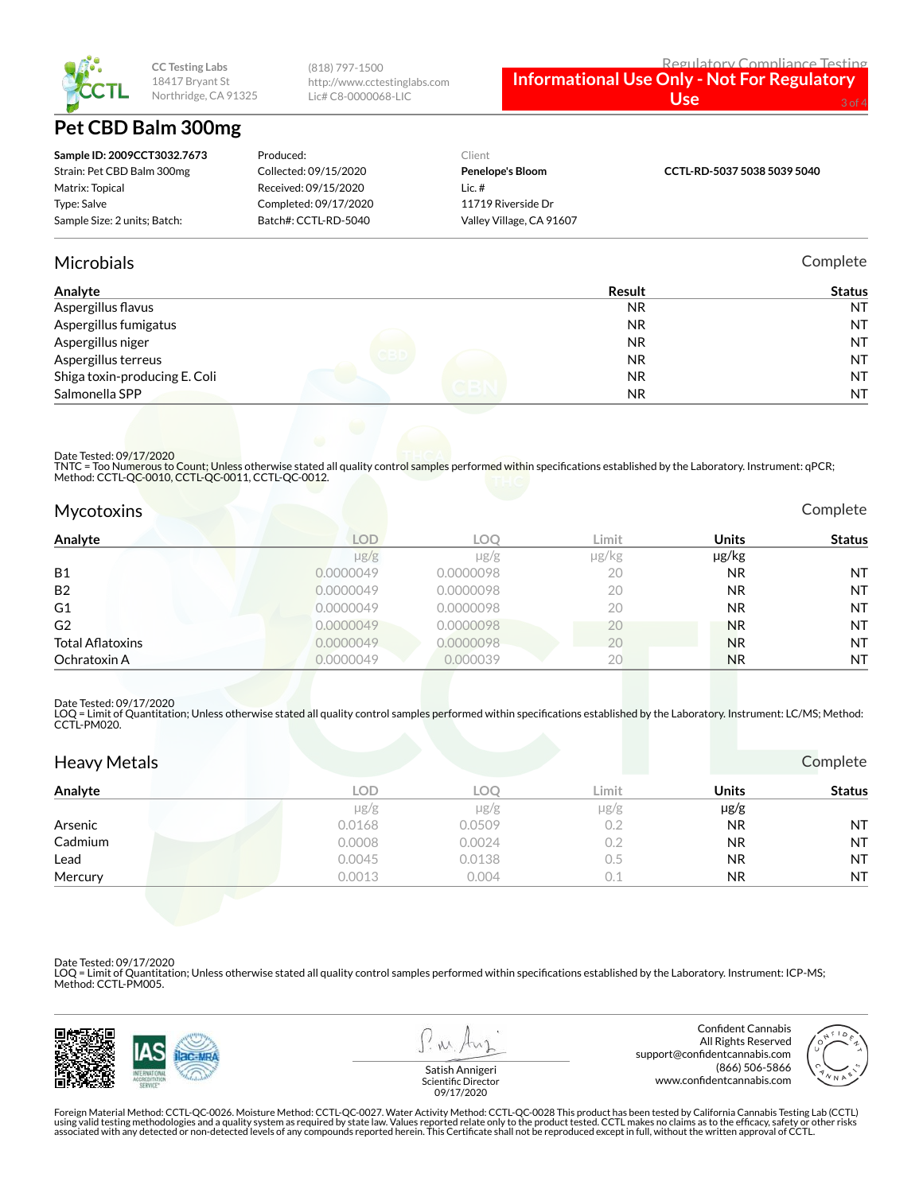

## **Pet CBD Balm 300mg**

| http://www.cctestinglabs.com | <b>Informational Use Only - Not For Regulatory</b> |          |  |
|------------------------------|----------------------------------------------------|----------|--|
| Lic# C8-0000068-LIC          | Use'                                               | $3$ of 4 |  |
|                              |                                                    |          |  |

| Sample ID: 2009CCT3032.7673  | Produced:             | Client                   |                             |
|------------------------------|-----------------------|--------------------------|-----------------------------|
| Strain: Pet CBD Balm 300mg   | Collected: 09/15/2020 | <b>Penelope's Bloom</b>  | CCTL-RD-5037 5038 5039 5040 |
| Matrix: Topical              | Received: 09/15/2020  | Lic. $#$                 |                             |
| Type: Salve                  | Completed: 09/17/2020 | 11719 Riverside Dr       |                             |
| Sample Size: 2 units; Batch: | Batch#: CCTL-RD-5040  | Valley Village, CA 91607 |                             |

(818) 797-1500

### Microbials Complete

Regulatory Compliance Testing

| Analyte                       | Result    | <b>Status</b> |
|-------------------------------|-----------|---------------|
| Aspergillus flavus            | <b>NR</b> | <b>NT</b>     |
| Aspergillus fumigatus         | NR.       | <b>NT</b>     |
| Aspergillus niger             | <b>NR</b> | <b>NT</b>     |
| Aspergillus terreus           | <b>NR</b> | <b>NT</b>     |
| Shiga toxin-producing E. Coli | NR.       | <b>NT</b>     |
| Salmonella SPP                | <b>NR</b> | <b>NT</b>     |

Date Tested: 09/17/2020

TNTC = Too Numerous to Count; Unless otherwise stated all quality control samples performed within specifications established by the Laboratory. Instrument: qPCR;<br>Method: CCTL-QC-0010, CCTL-QC-0011, CCTL-QC-0012.

| <b>Mycotoxins</b> |
|-------------------|
|                   |

| Analyte                 | <b>LOD</b> | LOC       | Limit | Units     | Status    |
|-------------------------|------------|-----------|-------|-----------|-----------|
|                         | $\mu$ g/g  | $\mu$ g/g | µg/kg | µg/kg     |           |
| <b>B1</b>               | 0.0000049  | 0.0000098 | 20    | <b>NR</b> | <b>NT</b> |
| <b>B2</b>               | 0.0000049  | 0.0000098 | 20    | <b>NR</b> | <b>NT</b> |
| G1                      | 0.0000049  | 0.0000098 | 20    | <b>NR</b> | <b>NT</b> |
| G <sub>2</sub>          | 0.0000049  | 0.0000098 | 20    | <b>NR</b> | <b>NT</b> |
| <b>Total Aflatoxins</b> | 0.0000049  | 0.0000098 | 20    | <b>NR</b> | <b>NT</b> |
| Ochratoxin A            | 0.0000049  | 0.000039  | 20    | <b>NR</b> | <b>NT</b> |

#### Date Tested: 09/17/2020

LOQ = Limit of Quantitation; Unless otherwise stated all quality control samples performed within specifications established by the Laboratory. Instrument: LC/MS; Method:<br>CCTL-PM020.

| <b>Heavy Metals</b> |            |            |           |           | Complete      |
|---------------------|------------|------------|-----------|-----------|---------------|
| Analyte             | <b>LOD</b> | <b>LOO</b> | Limit     | Units     | <b>Status</b> |
|                     | $\mu$ g/g  | $\mu$ g/g  | $\mu$ g/g | $\mu$ g/g |               |
| Arsenic             | 0.0168     | 0.0509     | 0.2       | <b>NR</b> | <b>NT</b>     |
| Cadmium             | 0.0008     | 0.0024     | 0.2       | <b>NR</b> | <b>NT</b>     |
| Lead                | 0.0045     | 0.0138     | 0.5       | <b>NR</b> | <b>NT</b>     |
| Mercury             | 0.0013     | 0.004      | 0.1       | <b>NR</b> | <b>NT</b>     |

Date Tested: 09/17/2020

LOQ = Limit of Quantitation; Unless otherwise stated all quality control samples performed within specifications established by the Laboratory. Instrument: ICP-MS; Method: CCTL-PM005.



Confident Cannabis All Rights Reserved support@confidentcannabis.com (866) 506-5866 www.confidentcannabis.com



Satish Annigeri Scientific Director 09/17/2020